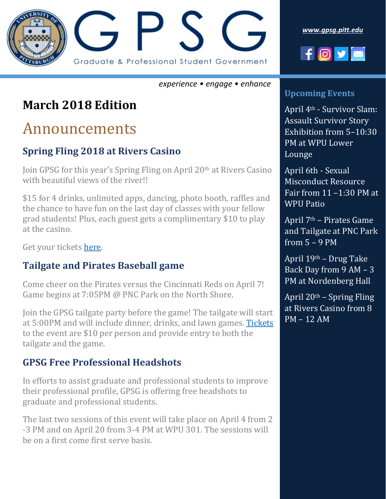

*experience • engage • enhance*

### **March 2018 Edition**

## Announcements

#### **Spring Fling 2018 at Rivers Casino**

Join GPSG for this year's Spring Fling on April 20th at Rivers Casino with beautiful views of the river!!

\$15 for 4 drinks, unlimited apps, dancing, photo booth, raffles and the chance to have fun on the last day of classes with your fellow grad students! Plus, each guest gets a complimentary \$10 to play at the casino.

Get your tickets [here.](fling2018.eventbrite.com)

#### **Tailgate and Pirates Baseball game**

Come cheer on the Pirates versus the Cincinnati Reds on April 7! Game begins at 7:05PM @ PNC Park on the North Shore.

Join the GPSG tailgate party before the game! The tailgate will start at 5:00PM and will include dinner, drinks, and lawn games. [Tickets](https://gpsgpirates.eventbrite.com/) to the event are \$10 per person and provide entry to both the tailgate and the game.

#### **GPSG Free Professional Headshots**

In efforts to assist graduate and professional students to improve their professional profile, GPSG is offering free headshots to graduate and professional students.

The last two sessions of this event will take place on April 4 from 2 -3 PM and on April 20 from 3-4 PM at WPU 301. The sessions will be on a first come first serve basis.

*[www.gpsg.pitt.edu](http://www.gpsg.pitt.edu/)*



#### **Upcoming Events**

April 4th - Survivor Slam: Assault Survivor Story Exhibition from 5–10:30 PM at WPU Lower Lounge

April 6th - Sexual Misconduct Resource Fair from 11 –1:30 PM at WPU Patio

April 7th – Pirates Game and Tailgate at PNC Park from 5 – 9 PM

April 19th – Drug Take Back Day from 9 AM – 3 PM at Nordenberg Hall

April  $20<sup>th</sup>$  – Spring Fling at Rivers Casino from 8 PM – 12 AM